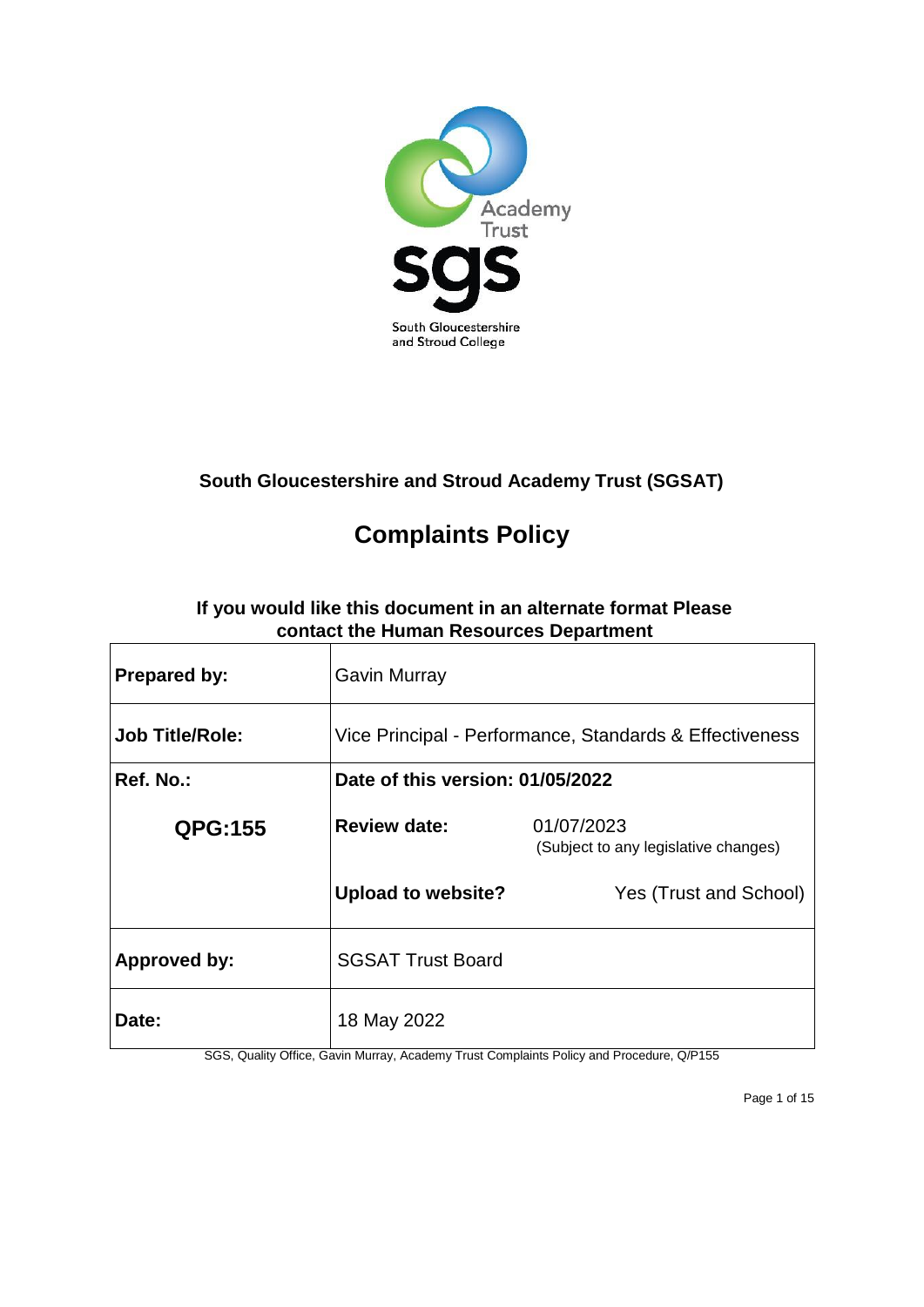

# **South Gloucestershire and Stroud Academy Trust (SGSAT)**

# **Complaints Policy**

# **If you would like this document in an alternate format Please contact the Human Resources Department**

| <b>Prepared by:</b>    | <b>Gavin Murray</b>                                     |                                                    |
|------------------------|---------------------------------------------------------|----------------------------------------------------|
| <b>Job Title/Role:</b> | Vice Principal - Performance, Standards & Effectiveness |                                                    |
| Ref. No.:              | Date of this version: 01/05/2022                        |                                                    |
| <b>QPG:155</b>         | <b>Review date:</b>                                     | 01/07/2023<br>(Subject to any legislative changes) |
|                        | <b>Upload to website?</b>                               | Yes (Trust and School)                             |
| <b>Approved by:</b>    | <b>SGSAT Trust Board</b>                                |                                                    |
| <b>Date:</b>           | 18 May 2022                                             |                                                    |

SGS, Quality Office, Gavin Murray, Academy Trust Complaints Policy and Procedure, Q/P155

Page 1 of 15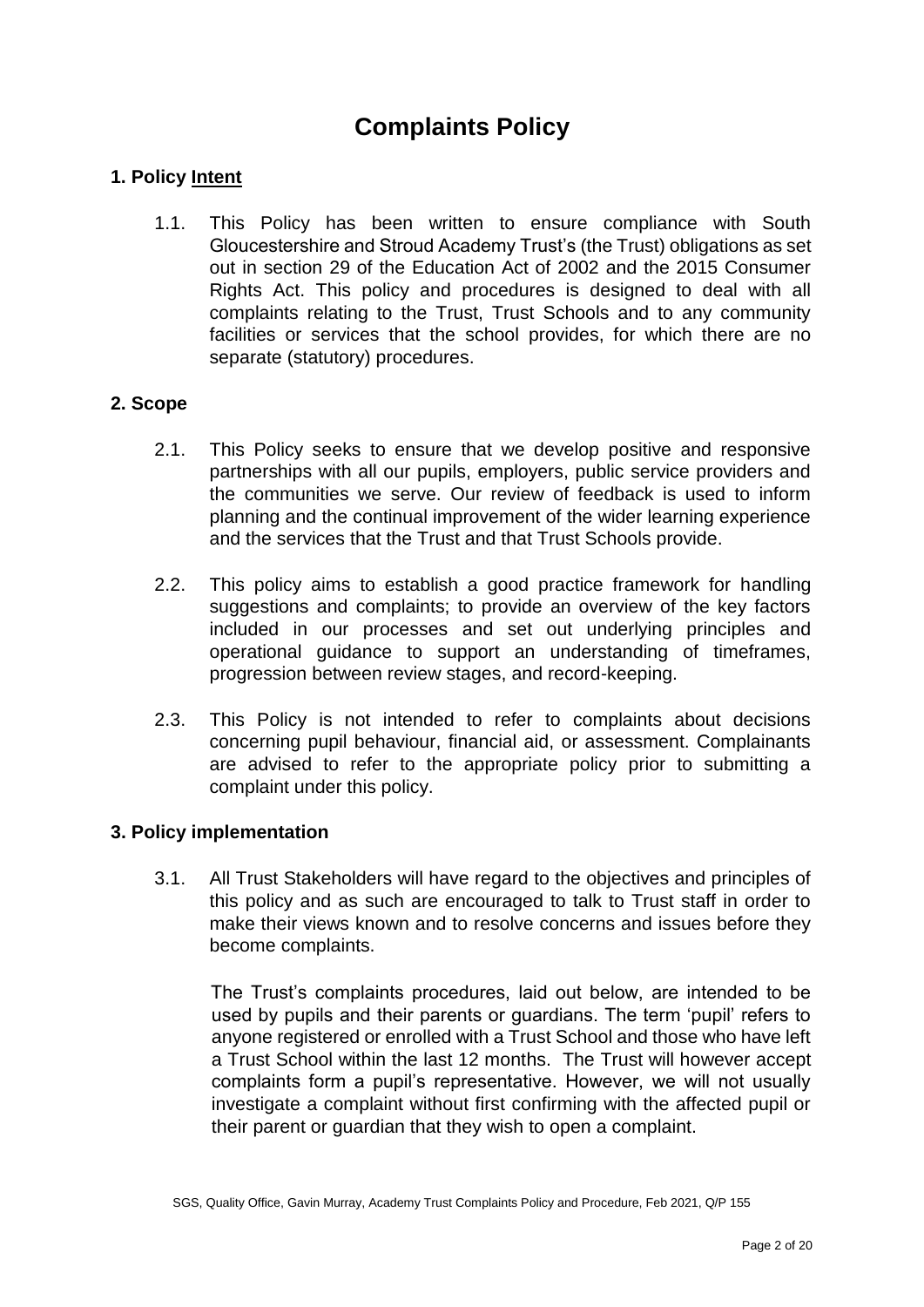# **Complaints Policy**

## **1. Policy Intent**

1.1. This Policy has been written to ensure compliance with South Gloucestershire and Stroud Academy Trust's (the Trust) obligations as set out in section 29 of the Education Act of 2002 and the 2015 Consumer Rights Act. This policy and procedures is designed to deal with all complaints relating to the Trust, Trust Schools and to any community facilities or services that the school provides, for which there are no separate (statutory) procedures.

### **2. Scope**

- 2.1. This Policy seeks to ensure that we develop positive and responsive partnerships with all our pupils, employers, public service providers and the communities we serve. Our review of feedback is used to inform planning and the continual improvement of the wider learning experience and the services that the Trust and that Trust Schools provide.
- 2.2. This policy aims to establish a good practice framework for handling suggestions and complaints; to provide an overview of the key factors included in our processes and set out underlying principles and operational guidance to support an understanding of timeframes, progression between review stages, and record-keeping.
- 2.3. This Policy is not intended to refer to complaints about decisions concerning pupil behaviour, financial aid, or assessment. Complainants are advised to refer to the appropriate policy prior to submitting a complaint under this policy.

### **3. Policy implementation**

3.1. All Trust Stakeholders will have regard to the objectives and principles of this policy and as such are encouraged to talk to Trust staff in order to make their views known and to resolve concerns and issues before they become complaints.

The Trust's complaints procedures, laid out below, are intended to be used by pupils and their parents or guardians. The term 'pupil' refers to anyone registered or enrolled with a Trust School and those who have left a Trust School within the last 12 months. The Trust will however accept complaints form a pupil's representative. However, we will not usually investigate a complaint without first confirming with the affected pupil or their parent or guardian that they wish to open a complaint.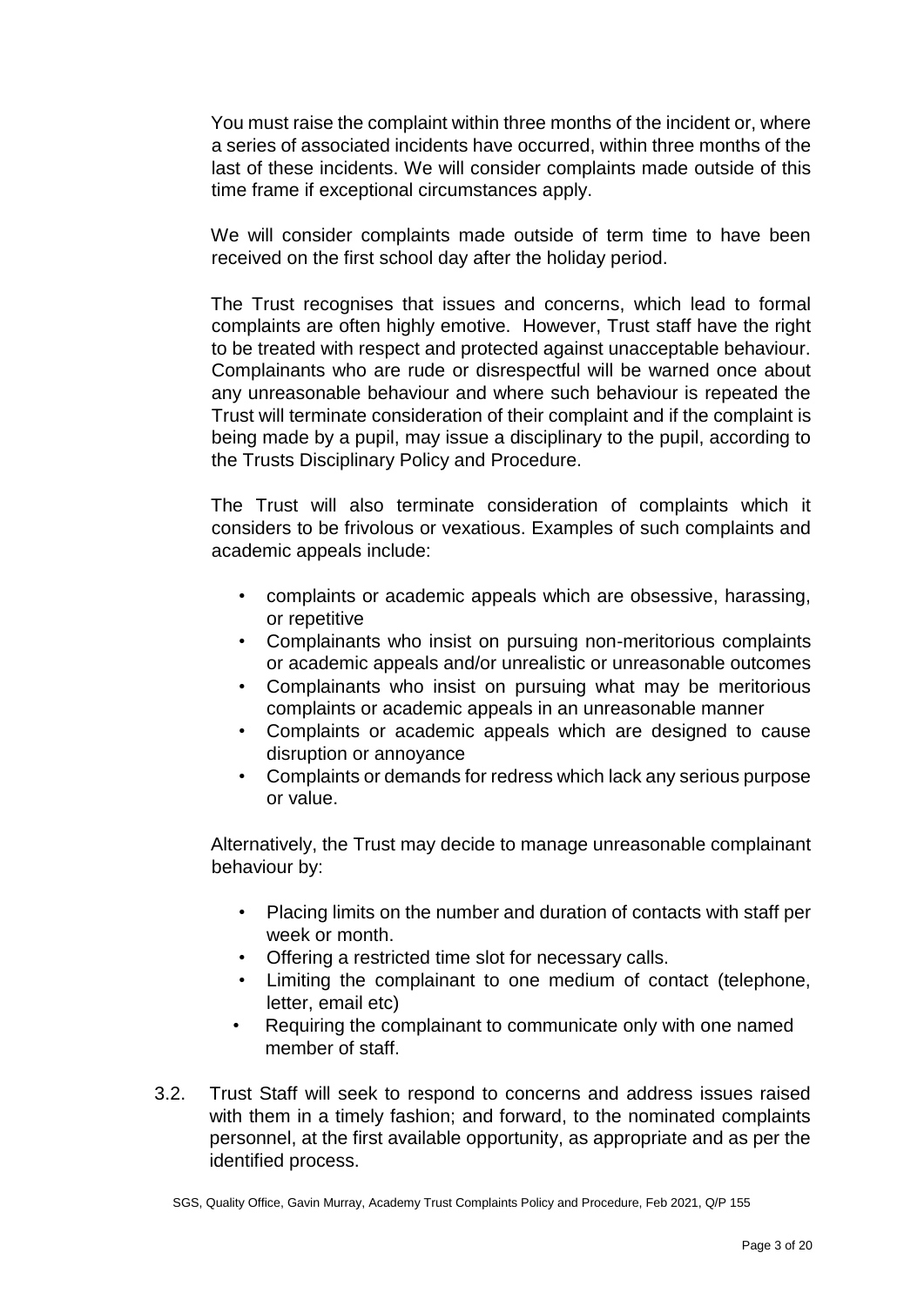You must raise the complaint within three months of the incident or, where a series of associated incidents have occurred, within three months of the last of these incidents. We will consider complaints made outside of this time frame if exceptional circumstances apply.

We will consider complaints made outside of term time to have been received on the first school day after the holiday period.

The Trust recognises that issues and concerns, which lead to formal complaints are often highly emotive. However, Trust staff have the right to be treated with respect and protected against unacceptable behaviour. Complainants who are rude or disrespectful will be warned once about any unreasonable behaviour and where such behaviour is repeated the Trust will terminate consideration of their complaint and if the complaint is being made by a pupil, may issue a disciplinary to the pupil, according to the Trusts Disciplinary Policy and Procedure.

The Trust will also terminate consideration of complaints which it considers to be frivolous or vexatious. Examples of such complaints and academic appeals include:

- complaints or academic appeals which are obsessive, harassing, or repetitive
- Complainants who insist on pursuing non-meritorious complaints or academic appeals and/or unrealistic or unreasonable outcomes
- Complainants who insist on pursuing what may be meritorious complaints or academic appeals in an unreasonable manner
- Complaints or academic appeals which are designed to cause disruption or annoyance
- Complaints or demands for redress which lack any serious purpose or value.

Alternatively, the Trust may decide to manage unreasonable complainant behaviour by:

- Placing limits on the number and duration of contacts with staff per week or month.
- Offering a restricted time slot for necessary calls.
- Limiting the complainant to one medium of contact (telephone, letter, email etc)
- Requiring the complainant to communicate only with one named member of staff.
- 3.2. Trust Staff will seek to respond to concerns and address issues raised with them in a timely fashion; and forward, to the nominated complaints personnel, at the first available opportunity, as appropriate and as per the identified process.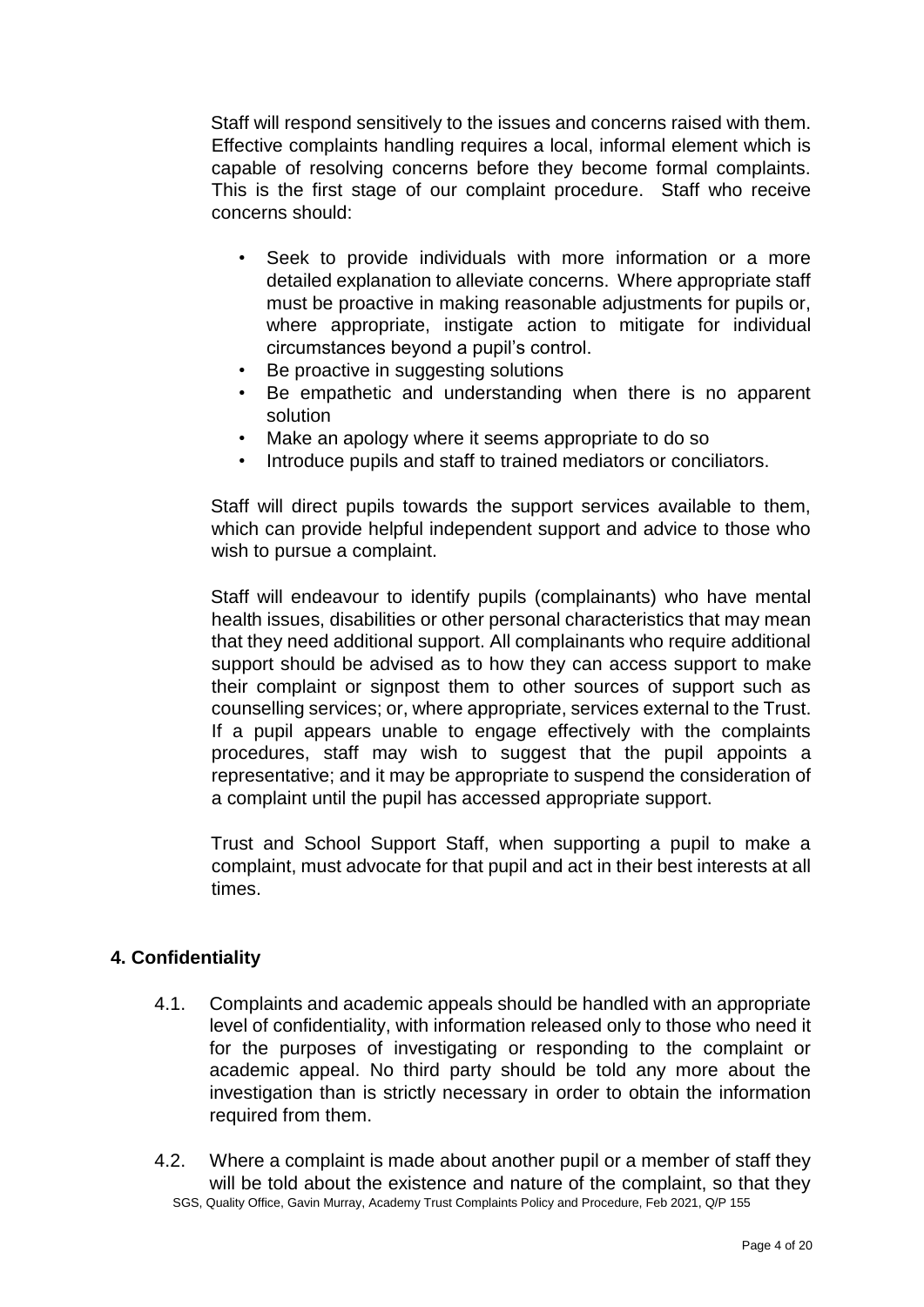Staff will respond sensitively to the issues and concerns raised with them. Effective complaints handling requires a local, informal element which is capable of resolving concerns before they become formal complaints. This is the first stage of our complaint procedure. Staff who receive concerns should:

- Seek to provide individuals with more information or a more detailed explanation to alleviate concerns. Where appropriate staff must be proactive in making reasonable adjustments for pupils or, where appropriate, instigate action to mitigate for individual circumstances beyond a pupil's control.
- Be proactive in suggesting solutions
- Be empathetic and understanding when there is no apparent solution
- Make an apology where it seems appropriate to do so
- Introduce pupils and staff to trained mediators or conciliators.

Staff will direct pupils towards the support services available to them, which can provide helpful independent support and advice to those who wish to pursue a complaint.

Staff will endeavour to identify pupils (complainants) who have mental health issues, disabilities or other personal characteristics that may mean that they need additional support. All complainants who require additional support should be advised as to how they can access support to make their complaint or signpost them to other sources of support such as counselling services; or, where appropriate, services external to the Trust. If a pupil appears unable to engage effectively with the complaints procedures, staff may wish to suggest that the pupil appoints a representative; and it may be appropriate to suspend the consideration of a complaint until the pupil has accessed appropriate support.

Trust and School Support Staff, when supporting a pupil to make a complaint, must advocate for that pupil and act in their best interests at all times.

# **4. Confidentiality**

- 4.1. Complaints and academic appeals should be handled with an appropriate level of confidentiality, with information released only to those who need it for the purposes of investigating or responding to the complaint or academic appeal. No third party should be told any more about the investigation than is strictly necessary in order to obtain the information required from them.
- SGS, Quality Office, Gavin Murray, Academy Trust Complaints Policy and Procedure, Feb 2021, Q/P 155 4.2. Where a complaint is made about another pupil or a member of staff they will be told about the existence and nature of the complaint, so that they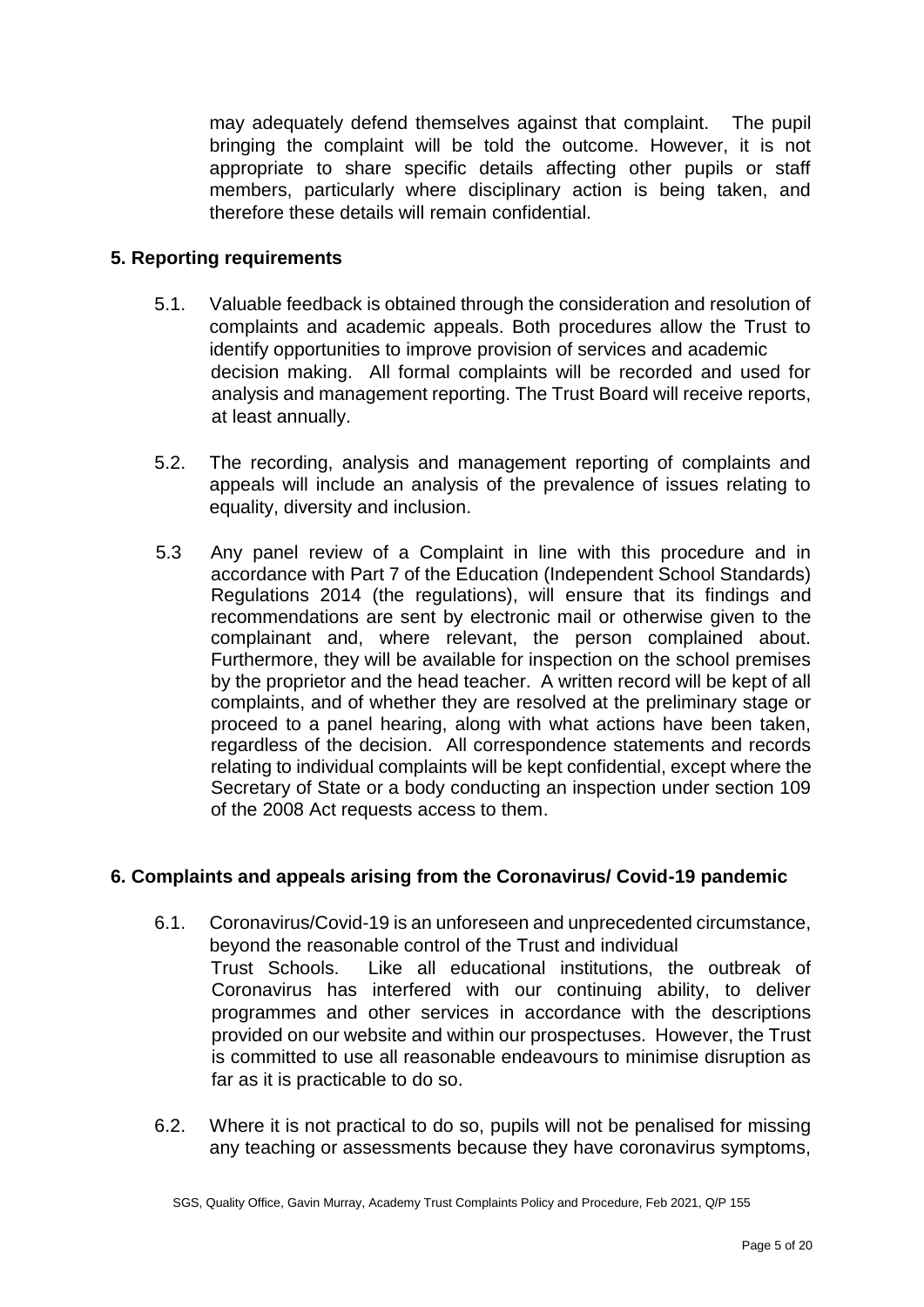may adequately defend themselves against that complaint. The pupil bringing the complaint will be told the outcome. However, it is not appropriate to share specific details affecting other pupils or staff members, particularly where disciplinary action is being taken, and therefore these details will remain confidential.

### **5. Reporting requirements**

- 5.1. Valuable feedback is obtained through the consideration and resolution of complaints and academic appeals. Both procedures allow the Trust to identify opportunities to improve provision of services and academic decision making. All formal complaints will be recorded and used for analysis and management reporting. The Trust Board will receive reports, at least annually.
- 5.2. The recording, analysis and management reporting of complaints and appeals will include an analysis of the prevalence of issues relating to equality, diversity and inclusion.
- 5.3 Any panel review of a Complaint in line with this procedure and in accordance with Part 7 of the Education (Independent School Standards) Regulations 2014 (the regulations), will ensure that its findings and recommendations are sent by electronic mail or otherwise given to the complainant and, where relevant, the person complained about. Furthermore, they will be available for inspection on the school premises by the proprietor and the head teacher. A written record will be kept of all complaints, and of whether they are resolved at the preliminary stage or proceed to a panel hearing, along with what actions have been taken, regardless of the decision. All correspondence statements and records relating to individual complaints will be kept confidential, except where the Secretary of State or a body conducting an inspection under section 109 of the 2008 Act requests access to them.

# **6. Complaints and appeals arising from the Coronavirus/ Covid-19 pandemic**

- 6.1. Coronavirus/Covid-19 is an unforeseen and unprecedented circumstance, beyond the reasonable control of the Trust and individual Trust Schools. Like all educational institutions, the outbreak of Coronavirus has interfered with our continuing ability, to deliver programmes and other services in accordance with the descriptions provided on our website and within our prospectuses. However, the Trust is committed to use all reasonable endeavours to minimise disruption as far as it is practicable to do so.
- 6.2. Where it is not practical to do so, pupils will not be penalised for missing any teaching or assessments because they have coronavirus symptoms,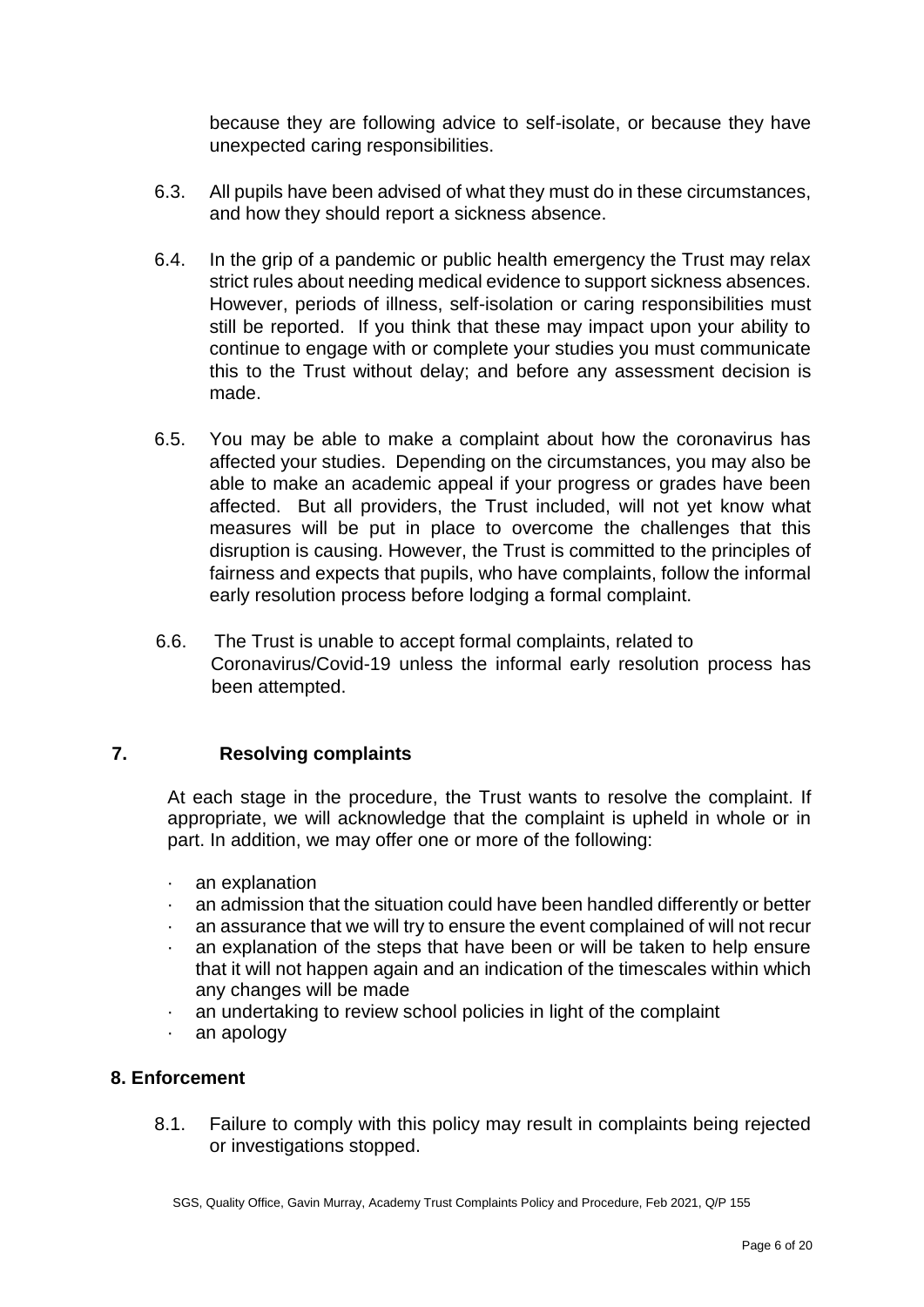because they are following advice to self-isolate, or because they have unexpected caring responsibilities.

- 6.3. All pupils have been advised of what they must do in these circumstances, and how they should report a sickness absence.
- 6.4. In the grip of a pandemic or public health emergency the Trust may relax strict rules about needing medical evidence to support sickness absences. However, periods of illness, self-isolation or caring responsibilities must still be reported. If you think that these may impact upon your ability to continue to engage with or complete your studies you must communicate this to the Trust without delay; and before any assessment decision is made.
- 6.5. You may be able to make a complaint about how the coronavirus has affected your studies. Depending on the circumstances, you may also be able to make an academic appeal if your progress or grades have been affected. But all providers, the Trust included, will not yet know what measures will be put in place to overcome the challenges that this disruption is causing. However, the Trust is committed to the principles of fairness and expects that pupils, who have complaints, follow the informal early resolution process before lodging a formal complaint.
- 6.6. The Trust is unable to accept formal complaints, related to Coronavirus/Covid-19 unless the informal early resolution process has been attempted.

### **7. Resolving complaints**

At each stage in the procedure, the Trust wants to resolve the complaint. If appropriate, we will acknowledge that the complaint is upheld in whole or in part. In addition, we may offer one or more of the following:

- · an explanation
- an admission that the situation could have been handled differently or better
- an assurance that we will try to ensure the event complained of will not recur
- · an explanation of the steps that have been or will be taken to help ensure that it will not happen again and an indication of the timescales within which any changes will be made
- an undertaking to review school policies in light of the complaint
- · an apology

#### **8. Enforcement**

8.1. Failure to comply with this policy may result in complaints being rejected or investigations stopped.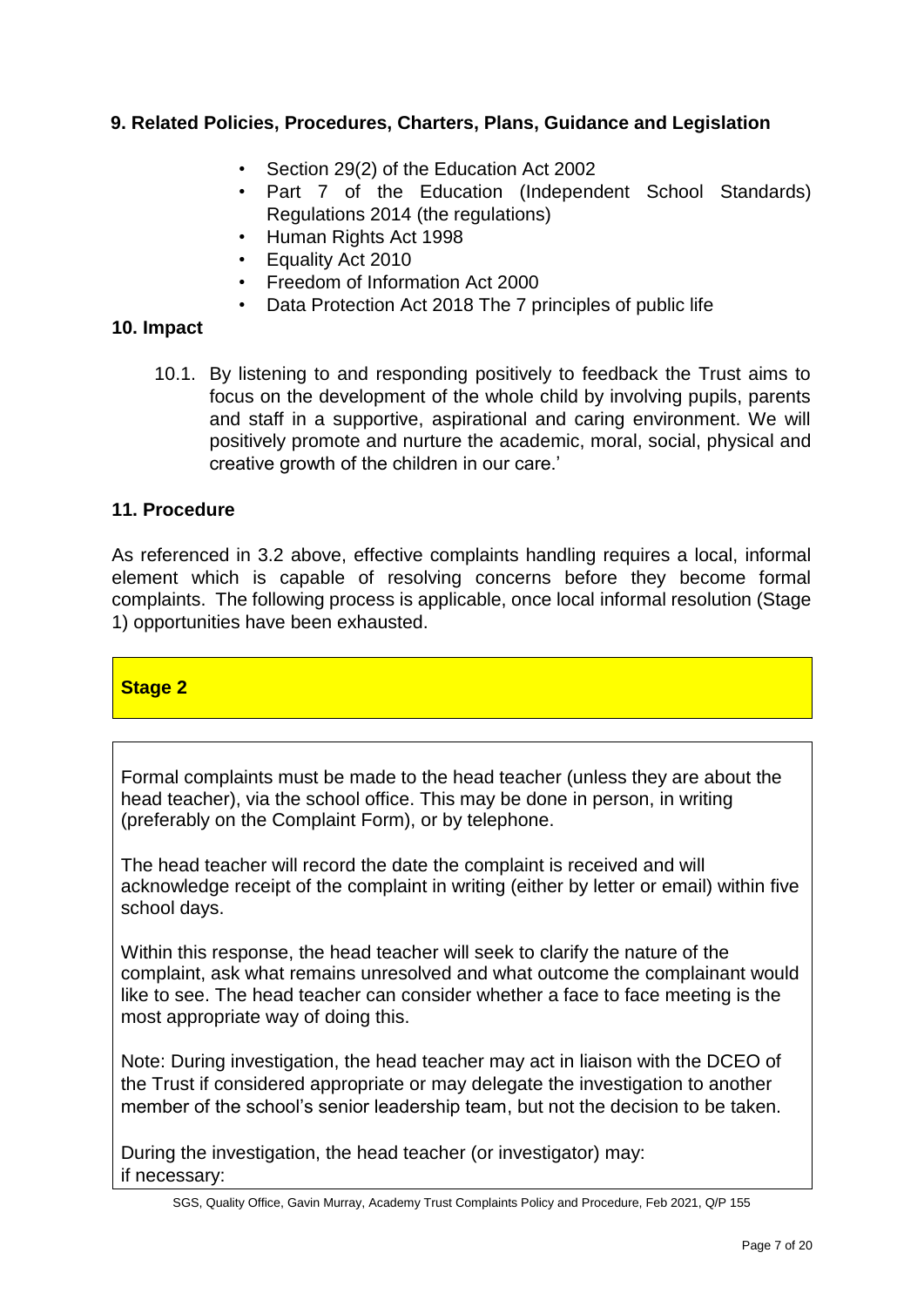# **9. Related Policies, Procedures, Charters, Plans, Guidance and Legislation**

- Section 29(2) of the Education Act 2002
- Part 7 of the Education (Independent School Standards) Regulations 2014 (the regulations)
- Human Rights Act 1998
- Equality Act 2010
- Freedom of Information Act 2000
- Data Protection Act 2018 The 7 principles of public life

### **10. Impact**

10.1. By listening to and responding positively to feedback the Trust aims to focus on the development of the whole child by involving pupils, parents and staff in a supportive, aspirational and caring environment. We will positively promote and nurture the academic, moral, social, physical and creative growth of the children in our care.'

### **11. Procedure**

As referenced in 3.2 above, effective complaints handling requires a local, informal element which is capable of resolving concerns before they become formal complaints. The following process is applicable, once local informal resolution (Stage 1) opportunities have been exhausted.

### **Stage 2**

Formal complaints must be made to the head teacher (unless they are about the head teacher), via the school office. This may be done in person, in writing (preferably on the Complaint Form), or by telephone.

The head teacher will record the date the complaint is received and will acknowledge receipt of the complaint in writing (either by letter or email) within five school days.

Within this response, the head teacher will seek to clarify the nature of the complaint, ask what remains unresolved and what outcome the complainant would like to see. The head teacher can consider whether a face to face meeting is the most appropriate way of doing this.

Note: During investigation, the head teacher may act in liaison with the DCEO of the Trust if considered appropriate or may delegate the investigation to another member of the school's senior leadership team, but not the decision to be taken.

During the investigation, the head teacher (or investigator) may: if necessary:

SGS, Quality Office, Gavin Murray, Academy Trust Complaints Policy and Procedure, Feb 2021, Q/P 155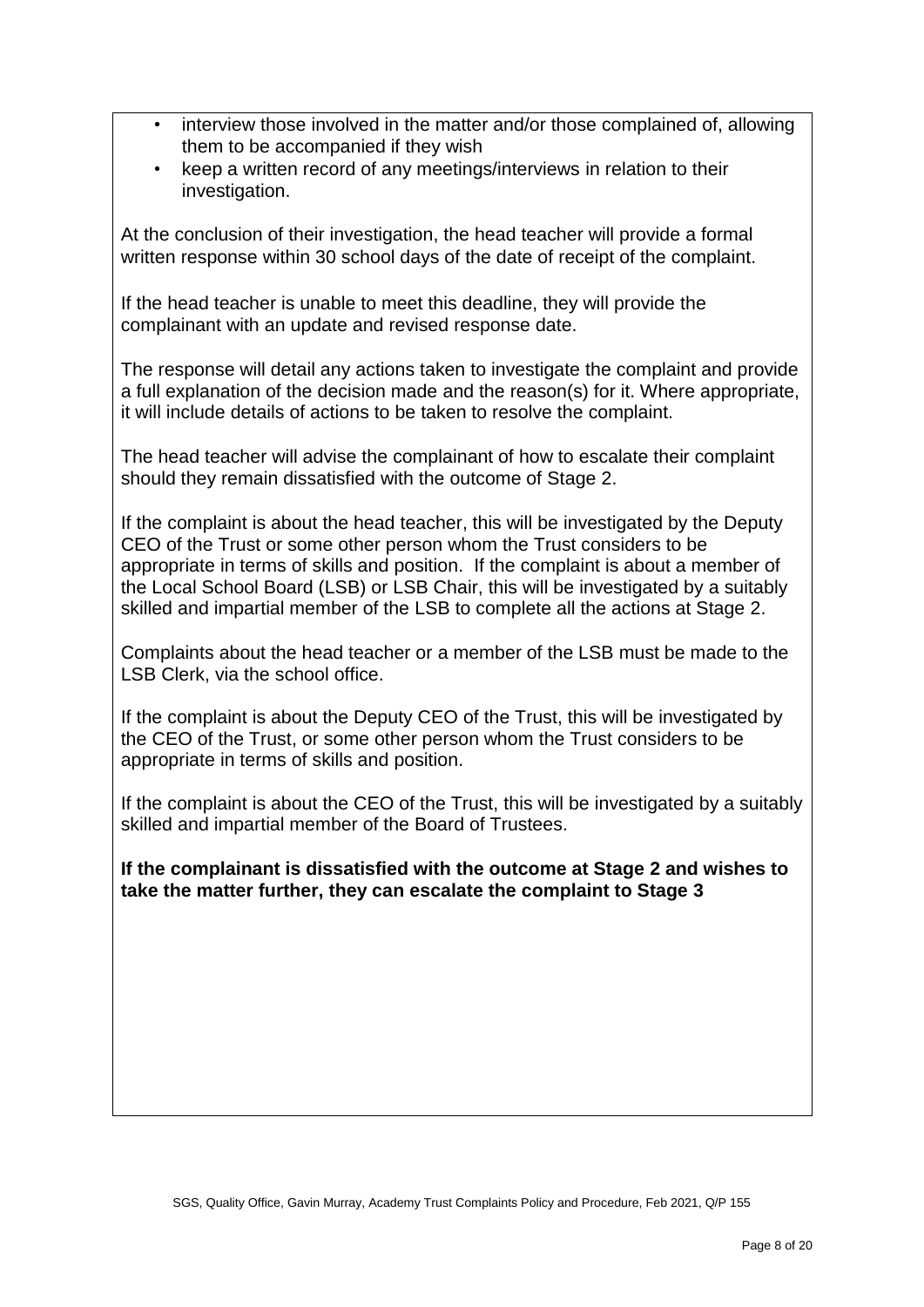- interview those involved in the matter and/or those complained of, allowing them to be accompanied if they wish
- keep a written record of any meetings/interviews in relation to their investigation.

At the conclusion of their investigation, the head teacher will provide a formal written response within 30 school days of the date of receipt of the complaint.

If the head teacher is unable to meet this deadline, they will provide the complainant with an update and revised response date.

The response will detail any actions taken to investigate the complaint and provide a full explanation of the decision made and the reason(s) for it. Where appropriate, it will include details of actions to be taken to resolve the complaint.

The head teacher will advise the complainant of how to escalate their complaint should they remain dissatisfied with the outcome of Stage 2.

If the complaint is about the head teacher, this will be investigated by the Deputy CEO of the Trust or some other person whom the Trust considers to be appropriate in terms of skills and position. If the complaint is about a member of the Local School Board (LSB) or LSB Chair, this will be investigated by a suitably skilled and impartial member of the LSB to complete all the actions at Stage 2.

Complaints about the head teacher or a member of the LSB must be made to the LSB Clerk, via the school office.

If the complaint is about the Deputy CEO of the Trust, this will be investigated by the CEO of the Trust, or some other person whom the Trust considers to be appropriate in terms of skills and position.

If the complaint is about the CEO of the Trust, this will be investigated by a suitably skilled and impartial member of the Board of Trustees.

**If the complainant is dissatisfied with the outcome at Stage 2 and wishes to take the matter further, they can escalate the complaint to Stage 3**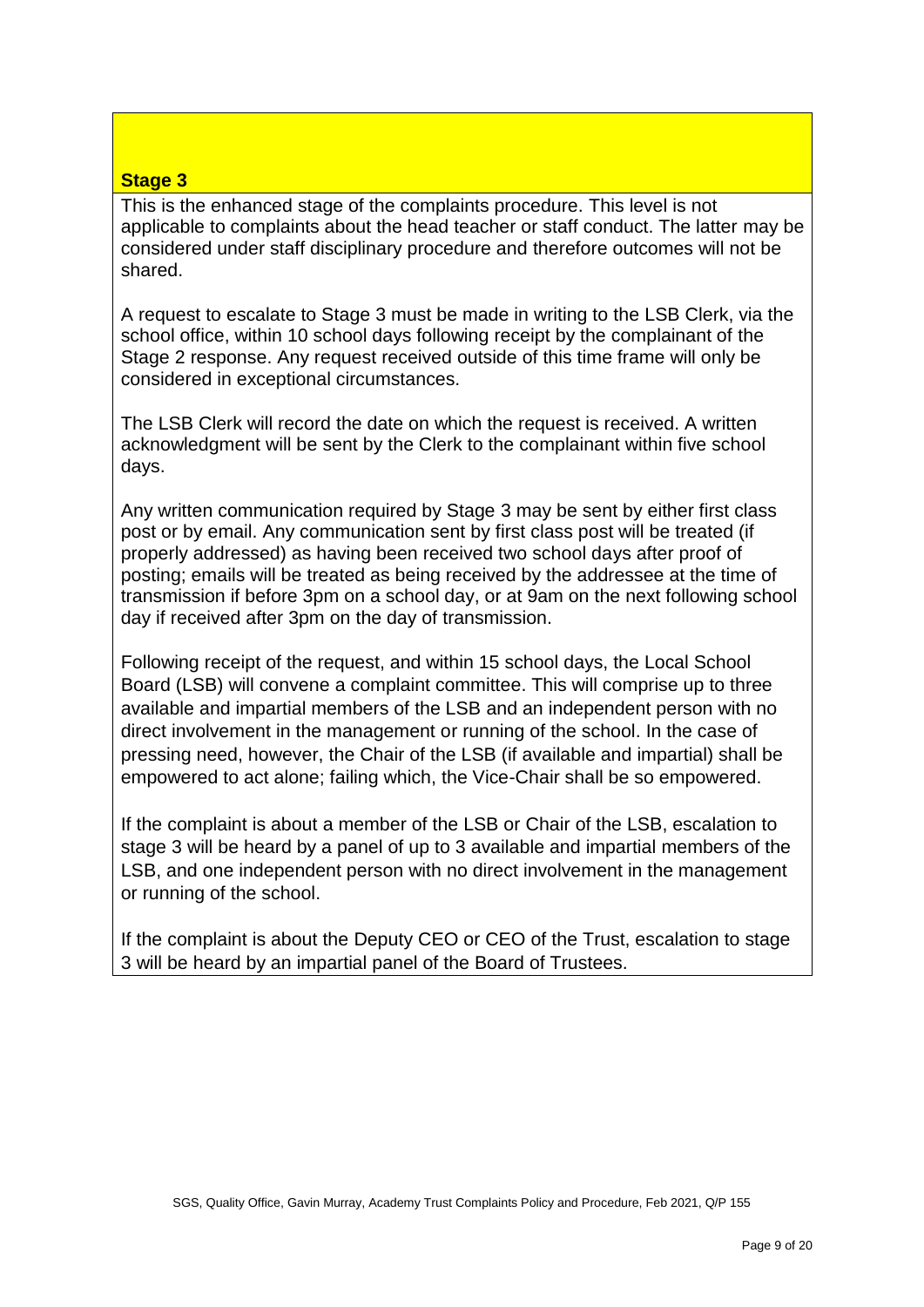# **Stage 3**

This is the enhanced stage of the complaints procedure. This level is not applicable to complaints about the head teacher or staff conduct. The latter may be considered under staff disciplinary procedure and therefore outcomes will not be shared.

A request to escalate to Stage 3 must be made in writing to the LSB Clerk, via the school office, within 10 school days following receipt by the complainant of the Stage 2 response. Any request received outside of this time frame will only be considered in exceptional circumstances.

The LSB Clerk will record the date on which the request is received. A written acknowledgment will be sent by the Clerk to the complainant within five school days.

Any written communication required by Stage 3 may be sent by either first class post or by email. Any communication sent by first class post will be treated (if properly addressed) as having been received two school days after proof of posting; emails will be treated as being received by the addressee at the time of transmission if before 3pm on a school day, or at 9am on the next following school day if received after 3pm on the day of transmission.

Following receipt of the request, and within 15 school days, the Local School Board (LSB) will convene a complaint committee. This will comprise up to three available and impartial members of the LSB and an independent person with no direct involvement in the management or running of the school. In the case of pressing need, however, the Chair of the LSB (if available and impartial) shall be empowered to act alone; failing which, the Vice-Chair shall be so empowered.

If the complaint is about a member of the LSB or Chair of the LSB, escalation to stage 3 will be heard by a panel of up to 3 available and impartial members of the LSB, and one independent person with no direct involvement in the management or running of the school.

If the complaint is about the Deputy CEO or CEO of the Trust, escalation to stage 3 will be heard by an impartial panel of the Board of Trustees.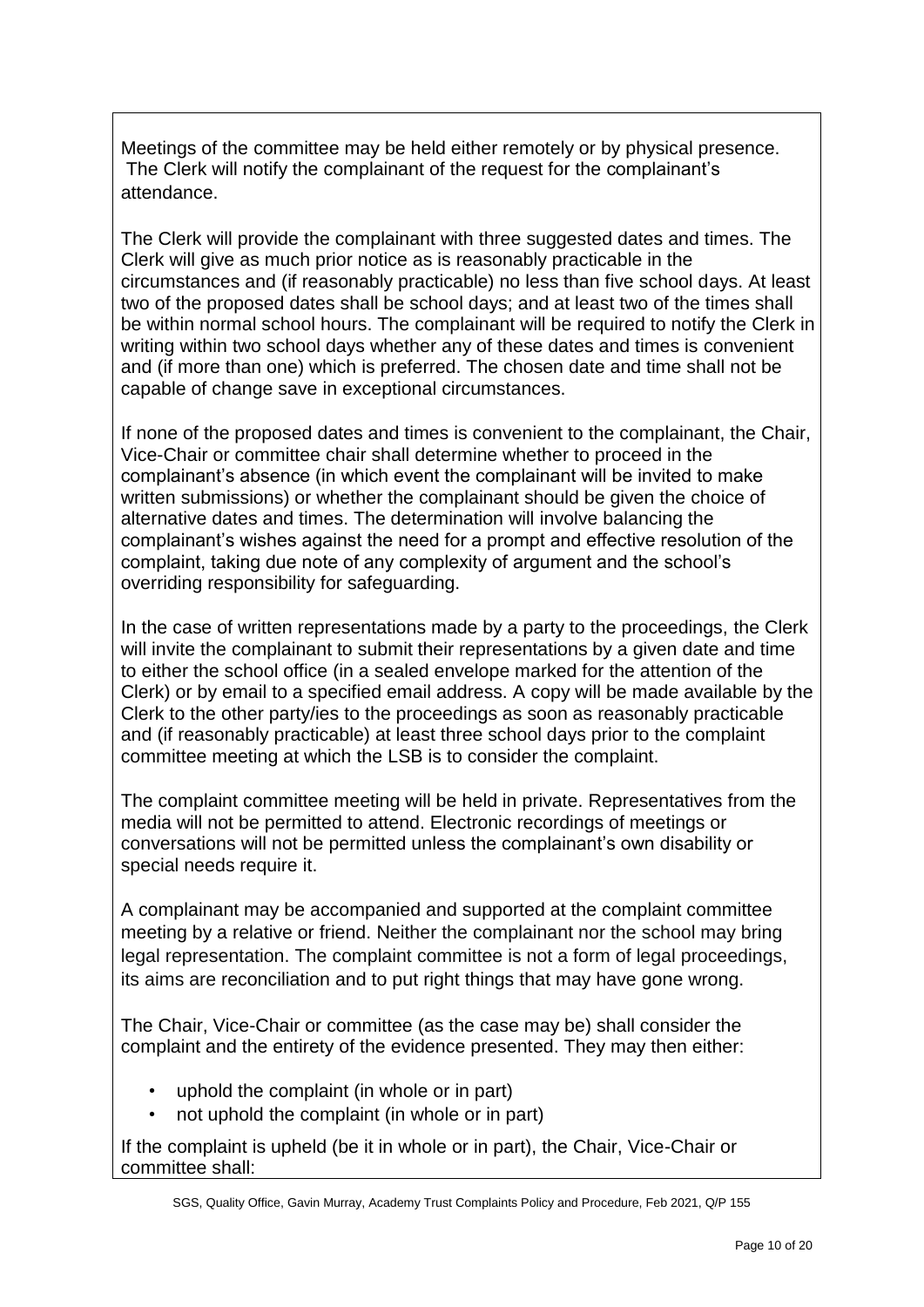Meetings of the committee may be held either remotely or by physical presence. The Clerk will notify the complainant of the request for the complainant's attendance.

The Clerk will provide the complainant with three suggested dates and times. The Clerk will give as much prior notice as is reasonably practicable in the circumstances and (if reasonably practicable) no less than five school days. At least two of the proposed dates shall be school days; and at least two of the times shall be within normal school hours. The complainant will be required to notify the Clerk in writing within two school days whether any of these dates and times is convenient and (if more than one) which is preferred. The chosen date and time shall not be capable of change save in exceptional circumstances.

If none of the proposed dates and times is convenient to the complainant, the Chair, Vice-Chair or committee chair shall determine whether to proceed in the complainant's absence (in which event the complainant will be invited to make written submissions) or whether the complainant should be given the choice of alternative dates and times. The determination will involve balancing the complainant's wishes against the need for a prompt and effective resolution of the complaint, taking due note of any complexity of argument and the school's overriding responsibility for safeguarding.

In the case of written representations made by a party to the proceedings, the Clerk will invite the complainant to submit their representations by a given date and time to either the school office (in a sealed envelope marked for the attention of the Clerk) or by email to a specified email address. A copy will be made available by the Clerk to the other party/ies to the proceedings as soon as reasonably practicable and (if reasonably practicable) at least three school days prior to the complaint committee meeting at which the LSB is to consider the complaint.

The complaint committee meeting will be held in private. Representatives from the media will not be permitted to attend. Electronic recordings of meetings or conversations will not be permitted unless the complainant's own disability or special needs require it.

A complainant may be accompanied and supported at the complaint committee meeting by a relative or friend. Neither the complainant nor the school may bring legal representation. The complaint committee is not a form of legal proceedings, its aims are reconciliation and to put right things that may have gone wrong.

The Chair, Vice-Chair or committee (as the case may be) shall consider the complaint and the entirety of the evidence presented. They may then either:

- uphold the complaint (in whole or in part)
- not uphold the complaint (in whole or in part)

If the complaint is upheld (be it in whole or in part), the Chair, Vice-Chair or committee shall: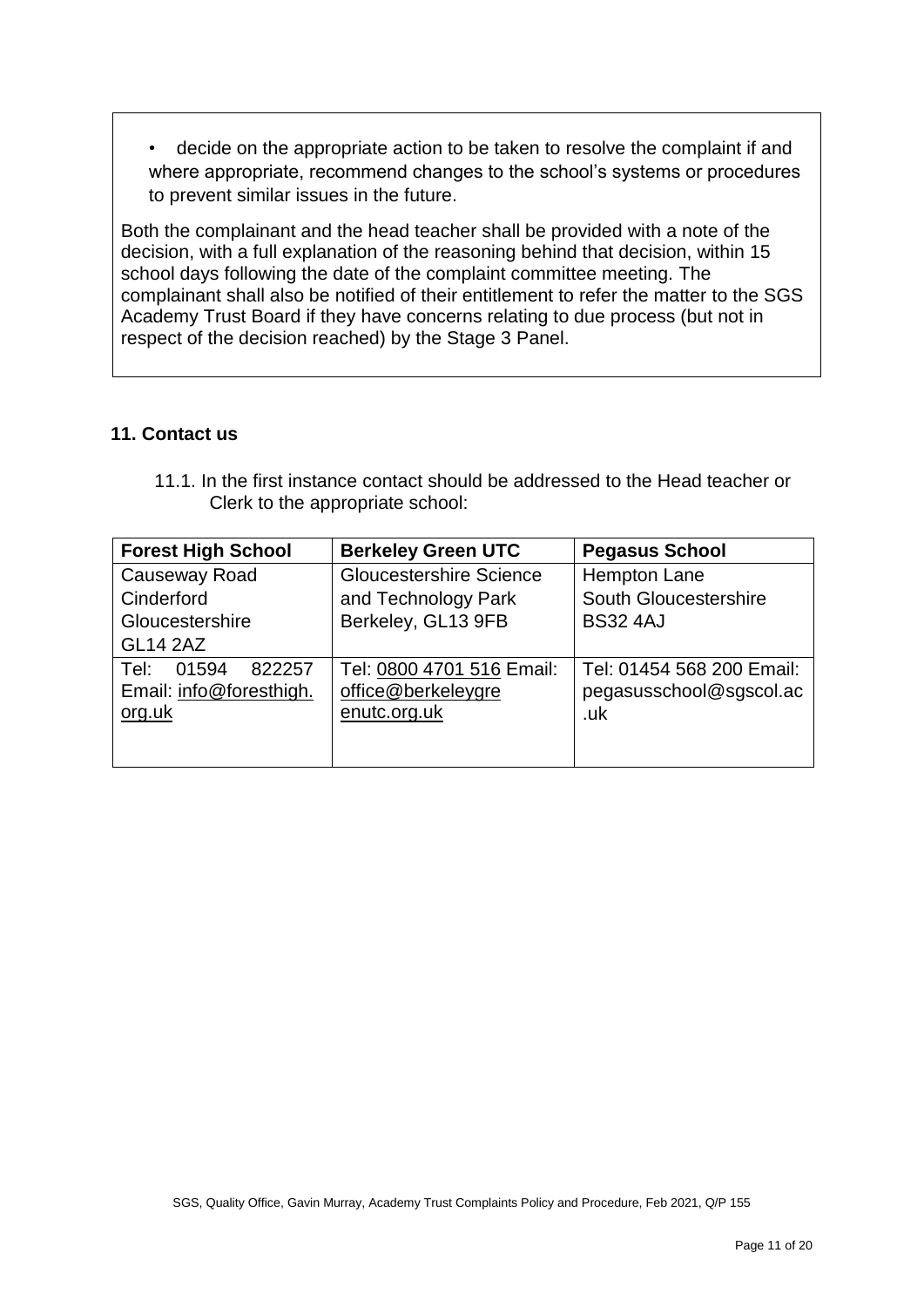• decide on the appropriate action to be taken to resolve the complaint if and where appropriate, recommend changes to the school's systems or procedures to prevent similar issues in the future.

Both the complainant and the head teacher shall be provided with a note of the decision, with a full explanation of the reasoning behind that decision, within 15 school days following the date of the complaint committee meeting. The complainant shall also be notified of their entitlement to refer the matter to the SGS Academy Trust Board if they have concerns relating to due process (but not in respect of the decision reached) by the Stage 3 Panel.

### **11. Contact us**

| <b>Forest High School</b>                                    | <b>Berkeley Green UTC</b>                                       | <b>Pegasus School</b>                                       |
|--------------------------------------------------------------|-----------------------------------------------------------------|-------------------------------------------------------------|
| Causeway Road<br>Cinderford                                  | <b>Gloucestershire Science</b><br>and Technology Park           | Hempton Lane<br>South Gloucestershire                       |
| Gloucestershire<br><b>GL14 2AZ</b>                           | Berkeley, GL13 9FB                                              | <b>BS32 4AJ</b>                                             |
| 822257<br>Tel:<br>01594<br>Email: info@foresthigh.<br>org.uk | Tel: 0800 4701 516 Email:<br>office@berkeleygre<br>enutc.org.uk | Tel: 01454 568 200 Email:<br>pegasusschool@sgscol.ac<br>.uk |
|                                                              |                                                                 |                                                             |

11.1. In the first instance contact should be addressed to the Head teacher or Clerk to the appropriate school: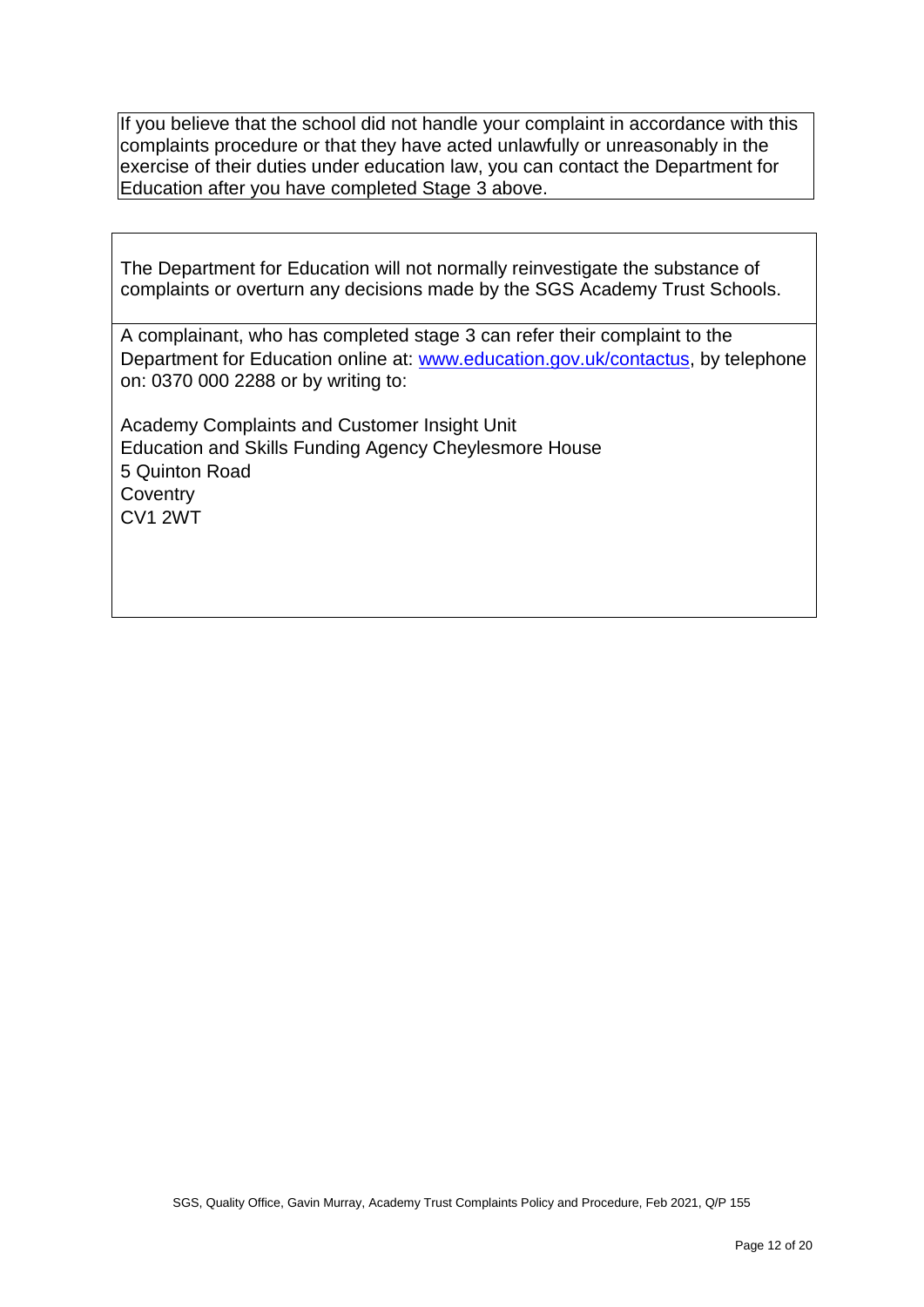If you believe that the school did not handle your complaint in accordance with this complaints procedure or that they have acted unlawfully or unreasonably in the exercise of their duties under education law, you can contact the Department for Education after you have completed Stage 3 above.

The Department for Education will not normally reinvestigate the substance of complaints or overturn any decisions made by the SGS Academy Trust Schools.

A complainant, who has completed stage 3 can refer their complaint to the Department for Education online at: [www.education.gov.uk/contactus,](http://www.education.gov.uk/contactus) by telephone on: 0370 000 2288 or by writing to:

Academy Complaints and Customer Insight Unit Education and Skills Funding Agency Cheylesmore House 5 Quinton Road **Coventry** CV1 2WT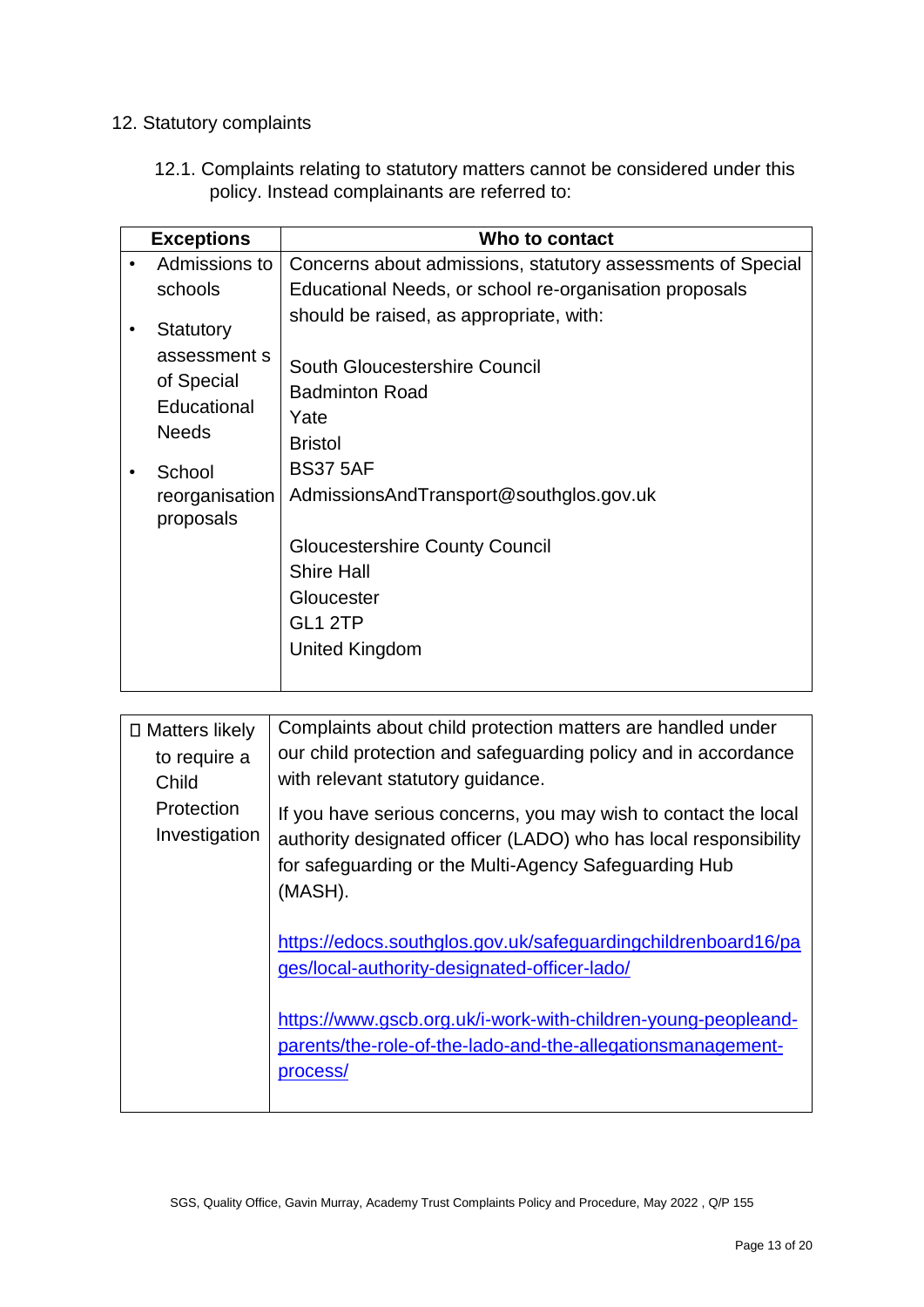# 12. Statutory complaints

12.1. Complaints relating to statutory matters cannot be considered under this policy. Instead complainants are referred to:

|           | <b>Exceptions</b>                                                      | Who to contact                                                                                            |
|-----------|------------------------------------------------------------------------|-----------------------------------------------------------------------------------------------------------|
| $\bullet$ | Admissions to                                                          | Concerns about admissions, statutory assessments of Special                                               |
|           | schools                                                                | Educational Needs, or school re-organisation proposals                                                    |
|           | Statutory<br>assessment s<br>of Special<br>Educational<br><b>Needs</b> | should be raised, as appropriate, with:<br>South Gloucestershire Council<br><b>Badminton Road</b><br>Yate |
|           | School<br>reorganisation<br>proposals                                  | <b>Bristol</b><br><b>BS37 5AF</b><br>AdmissionsAndTransport@southglos.gov.uk                              |
|           |                                                                        | <b>Gloucestershire County Council</b><br><b>Shire Hall</b><br>Gloucester<br>GL1 2TP<br>United Kingdom     |

| □ Matters likely<br>to require a<br>Child | Complaints about child protection matters are handled under<br>our child protection and safeguarding policy and in accordance<br>with relevant statutory guidance.                                      |
|-------------------------------------------|---------------------------------------------------------------------------------------------------------------------------------------------------------------------------------------------------------|
| Protection<br>Investigation               | If you have serious concerns, you may wish to contact the local<br>authority designated officer (LADO) who has local responsibility<br>for safeguarding or the Multi-Agency Safeguarding Hub<br>(MASH). |
|                                           | https://edocs.southglos.gov.uk/safeguardingchildrenboard16/pa<br>ges/local-authority-designated-officer-lado/                                                                                           |
|                                           | https://www.gscb.org.uk/i-work-with-children-young-peopleand-<br>parents/the-role-of-the-lado-and-the-allegationsmanagement-<br>process/                                                                |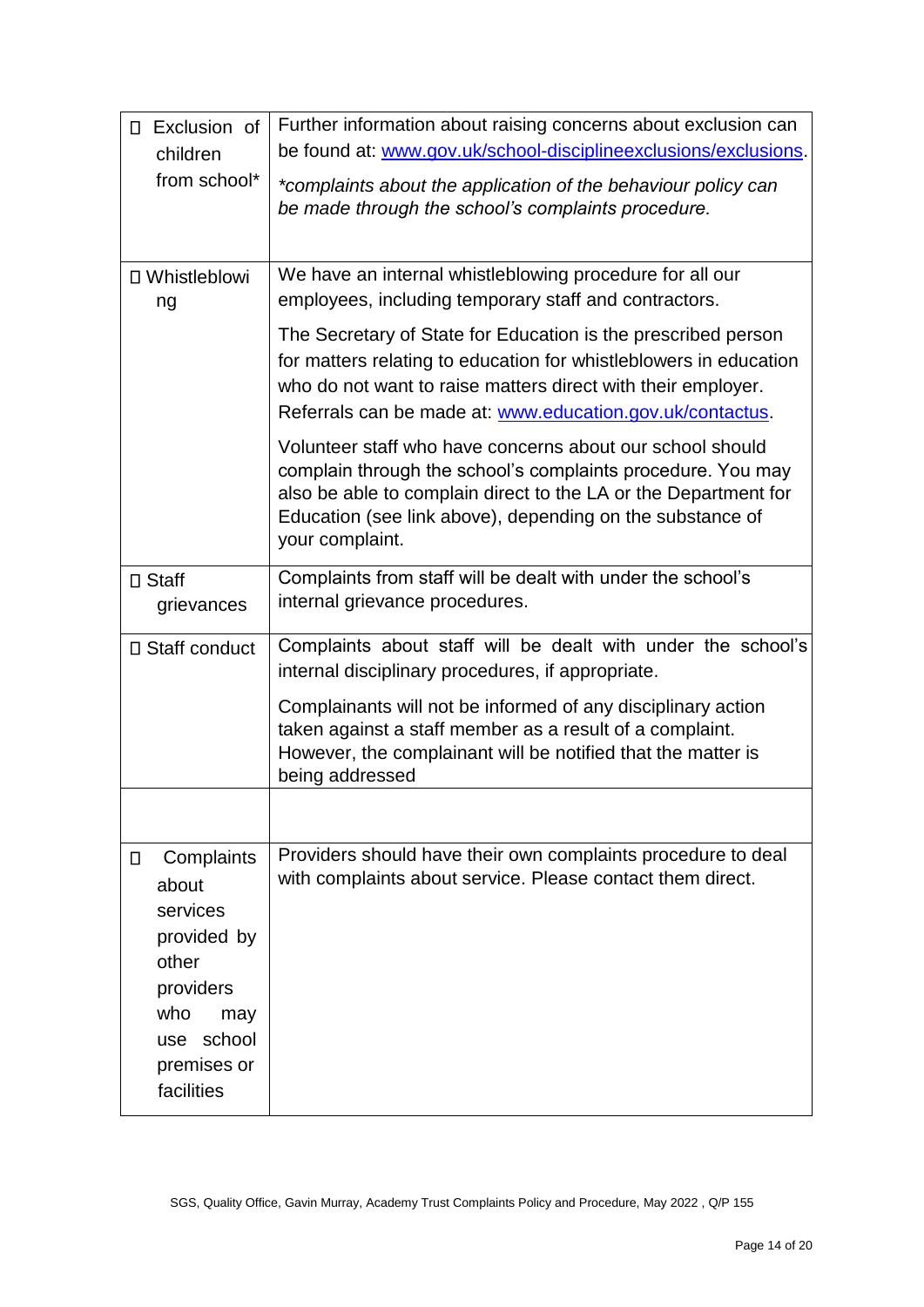| Exclusion of<br>$\Box$                                                                                                                     | Further information about raising concerns about exclusion can                                                                                                                                                                                                              |  |  |
|--------------------------------------------------------------------------------------------------------------------------------------------|-----------------------------------------------------------------------------------------------------------------------------------------------------------------------------------------------------------------------------------------------------------------------------|--|--|
| children                                                                                                                                   | be found at: www.gov.uk/school-disciplineexclusions/exclusions.                                                                                                                                                                                                             |  |  |
| from school*                                                                                                                               | *complaints about the application of the behaviour policy can<br>be made through the school's complaints procedure.                                                                                                                                                         |  |  |
| □ Whistleblowi<br>ng                                                                                                                       | We have an internal whistleblowing procedure for all our<br>employees, including temporary staff and contractors.                                                                                                                                                           |  |  |
|                                                                                                                                            | The Secretary of State for Education is the prescribed person<br>for matters relating to education for whistleblowers in education<br>who do not want to raise matters direct with their employer.<br>Referrals can be made at: www.education.gov.uk/contactus.             |  |  |
|                                                                                                                                            | Volunteer staff who have concerns about our school should<br>complain through the school's complaints procedure. You may<br>also be able to complain direct to the LA or the Department for<br>Education (see link above), depending on the substance of<br>your complaint. |  |  |
| □ Staff<br>grievances                                                                                                                      | Complaints from staff will be dealt with under the school's<br>internal grievance procedures.                                                                                                                                                                               |  |  |
| □ Staff conduct                                                                                                                            | Complaints about staff will be dealt with under the school's                                                                                                                                                                                                                |  |  |
|                                                                                                                                            | internal disciplinary procedures, if appropriate.                                                                                                                                                                                                                           |  |  |
|                                                                                                                                            | Complainants will not be informed of any disciplinary action<br>taken against a staff member as a result of a complaint.<br>However, the complainant will be notified that the matter is<br>being addressed                                                                 |  |  |
|                                                                                                                                            |                                                                                                                                                                                                                                                                             |  |  |
| Complaints<br>$\Box$<br>about<br>services<br>provided by<br>other<br>providers<br>who<br>may<br>school<br>use<br>premises or<br>facilities | Providers should have their own complaints procedure to deal<br>with complaints about service. Please contact them direct.                                                                                                                                                  |  |  |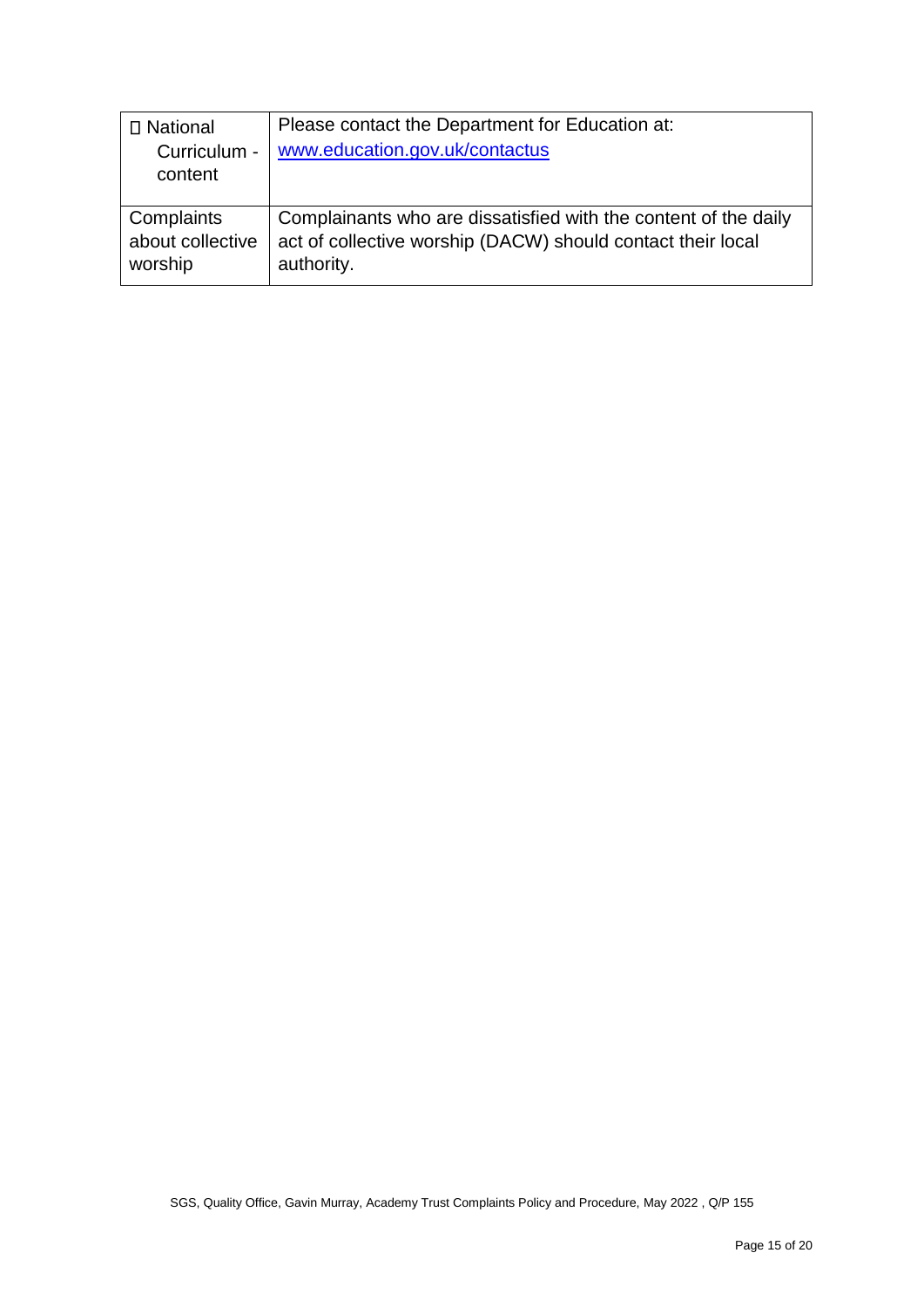| Please contact the Department for Education at:                 |
|-----------------------------------------------------------------|
| www.education.gov.uk/contactus                                  |
|                                                                 |
|                                                                 |
| Complainants who are dissatisfied with the content of the daily |
| act of collective worship (DACW) should contact their local     |
| authority.                                                      |
|                                                                 |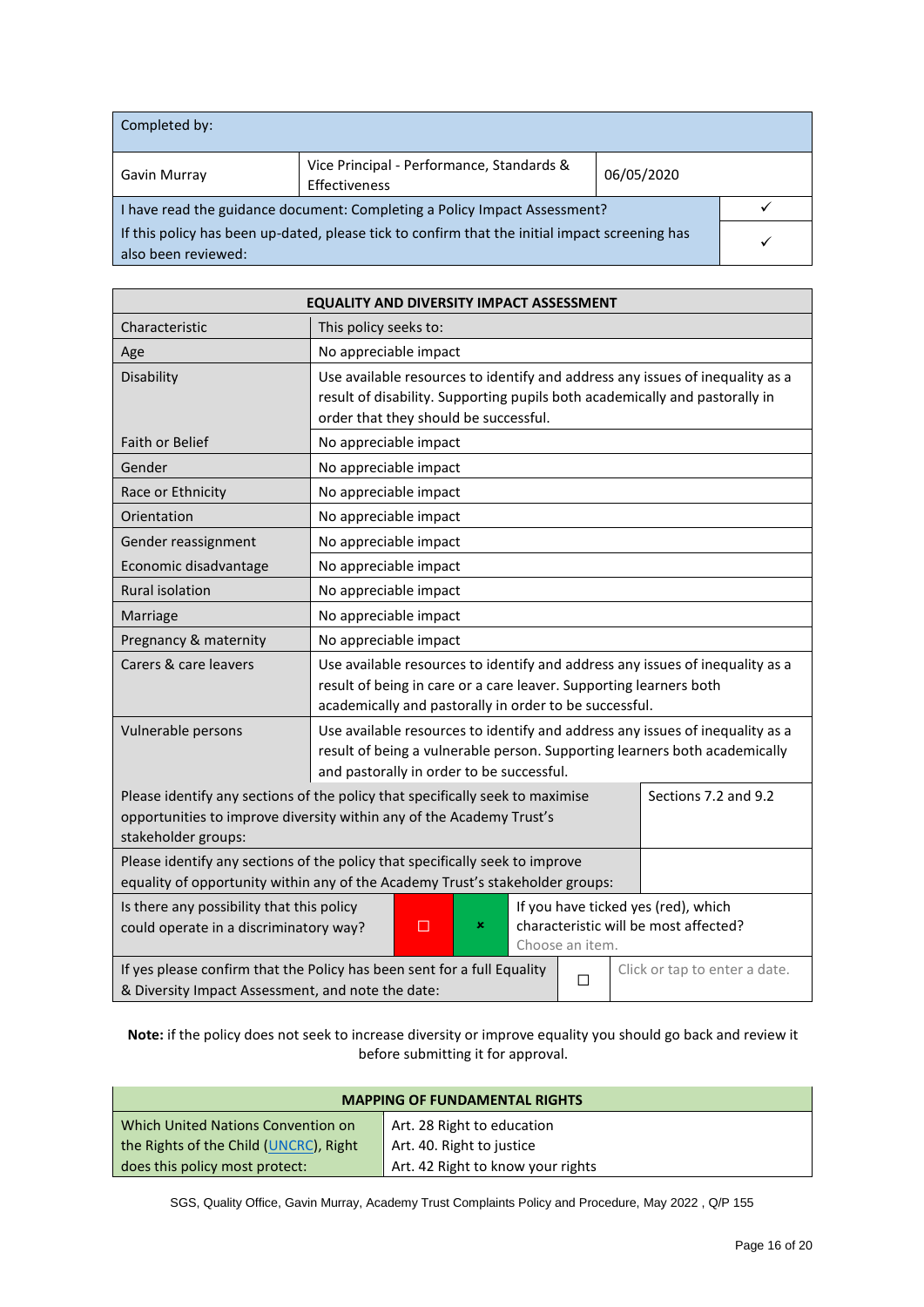| Completed by:                                                                                                         |  |  |  |
|-----------------------------------------------------------------------------------------------------------------------|--|--|--|
| Vice Principal - Performance, Standards &<br>06/05/2020<br>Gavin Murray<br>Effectiveness                              |  |  |  |
| I have read the guidance document: Completing a Policy Impact Assessment?                                             |  |  |  |
| If this policy has been up-dated, please tick to confirm that the initial impact screening has<br>also been reviewed: |  |  |  |

| <b>EQUALITY AND DIVERSITY IMPACT ASSESSMENT</b>                                                                                                                                                       |                                                                                                                                                                                                               |  |  |  |
|-------------------------------------------------------------------------------------------------------------------------------------------------------------------------------------------------------|---------------------------------------------------------------------------------------------------------------------------------------------------------------------------------------------------------------|--|--|--|
| Characteristic                                                                                                                                                                                        | This policy seeks to:                                                                                                                                                                                         |  |  |  |
| Age                                                                                                                                                                                                   | No appreciable impact                                                                                                                                                                                         |  |  |  |
| Disability                                                                                                                                                                                            | Use available resources to identify and address any issues of inequality as a<br>result of disability. Supporting pupils both academically and pastorally in<br>order that they should be successful.         |  |  |  |
| Faith or Belief                                                                                                                                                                                       | No appreciable impact                                                                                                                                                                                         |  |  |  |
| Gender                                                                                                                                                                                                | No appreciable impact                                                                                                                                                                                         |  |  |  |
| Race or Ethnicity                                                                                                                                                                                     | No appreciable impact                                                                                                                                                                                         |  |  |  |
| Orientation                                                                                                                                                                                           | No appreciable impact                                                                                                                                                                                         |  |  |  |
| Gender reassignment                                                                                                                                                                                   | No appreciable impact                                                                                                                                                                                         |  |  |  |
| Economic disadvantage                                                                                                                                                                                 | No appreciable impact                                                                                                                                                                                         |  |  |  |
| <b>Rural isolation</b>                                                                                                                                                                                | No appreciable impact                                                                                                                                                                                         |  |  |  |
| Marriage                                                                                                                                                                                              | No appreciable impact                                                                                                                                                                                         |  |  |  |
| Pregnancy & maternity                                                                                                                                                                                 | No appreciable impact                                                                                                                                                                                         |  |  |  |
| Carers & care leavers                                                                                                                                                                                 | Use available resources to identify and address any issues of inequality as a<br>result of being in care or a care leaver. Supporting learners both<br>academically and pastorally in order to be successful. |  |  |  |
| Vulnerable persons                                                                                                                                                                                    | Use available resources to identify and address any issues of inequality as a<br>result of being a vulnerable person. Supporting learners both academically<br>and pastorally in order to be successful.      |  |  |  |
| Please identify any sections of the policy that specifically seek to maximise<br>Sections 7.2 and 9.2<br>opportunities to improve diversity within any of the Academy Trust's<br>stakeholder groups:  |                                                                                                                                                                                                               |  |  |  |
| Please identify any sections of the policy that specifically seek to improve<br>equality of opportunity within any of the Academy Trust's stakeholder groups:                                         |                                                                                                                                                                                                               |  |  |  |
| Is there any possibility that this policy<br>If you have ticked yes (red), which<br>characteristic will be most affected?<br>could operate in a discriminatory way?<br>$\Box$<br>×<br>Choose an item. |                                                                                                                                                                                                               |  |  |  |
| If yes please confirm that the Policy has been sent for a full Equality<br>Click or tap to enter a date.<br>П<br>& Diversity Impact Assessment, and note the date:                                    |                                                                                                                                                                                                               |  |  |  |

**Note:** if the policy does not seek to increase diversity or improve equality you should go back and review it before submitting it for approval.

| <b>MAPPING OF FUNDAMENTAL RIGHTS</b>                                |                            |  |
|---------------------------------------------------------------------|----------------------------|--|
| Which United Nations Convention on                                  | Art. 28 Right to education |  |
| the Rights of the Child (UNCRC), Right<br>Art. 40. Right to justice |                            |  |
| Art. 42 Right to know your rights<br>does this policy most protect: |                            |  |

SGS, Quality Office, Gavin Murray, Academy Trust Complaints Policy and Procedure, May 2022 , Q/P 155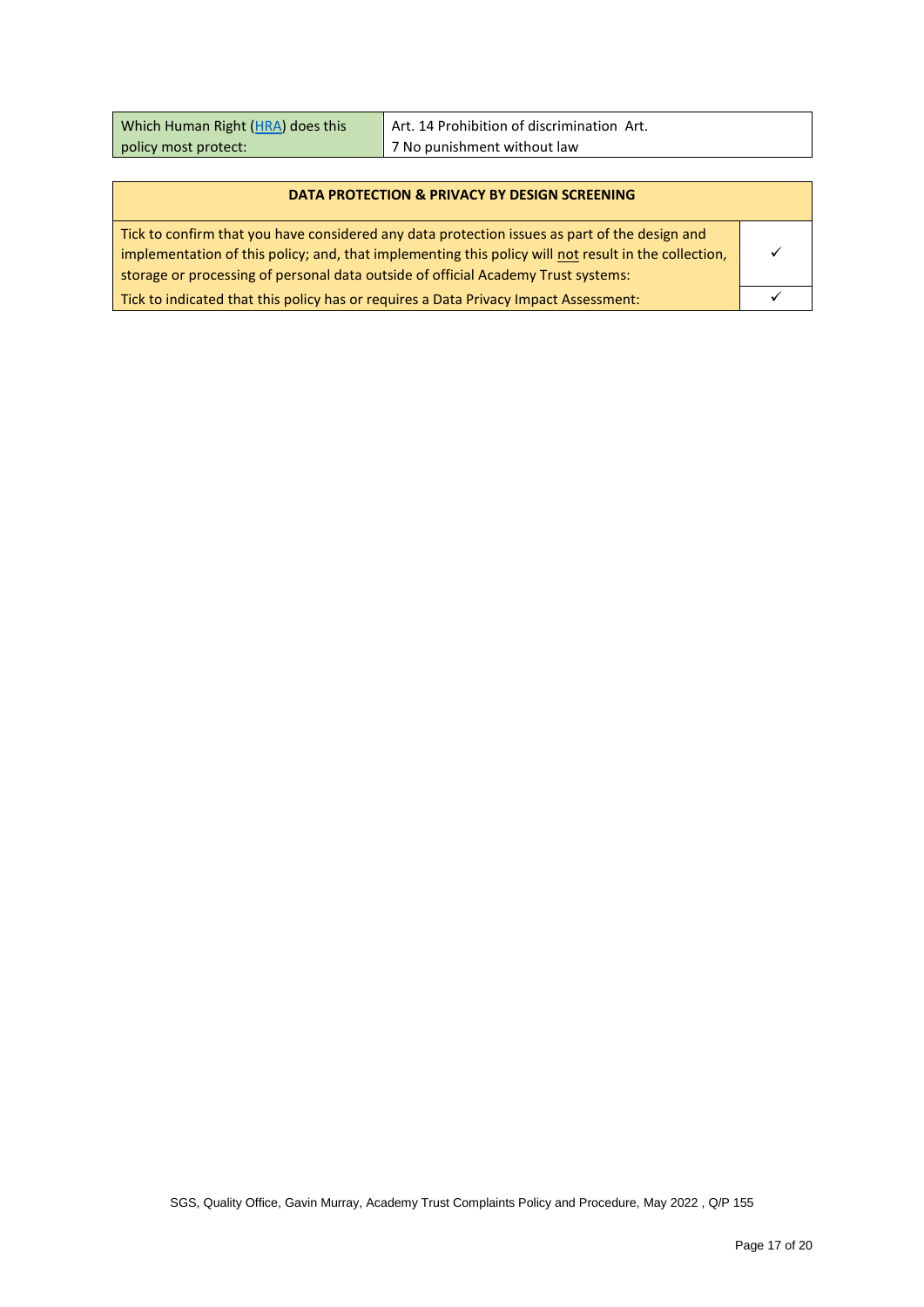| Which Human Right (HRA) does this | Art. 14 Prohibition of discrimination Art. |
|-----------------------------------|--------------------------------------------|
| policy most protect:              | 7 No punishment without law                |

#### **DATA PROTECTION & PRIVACY BY DESIGN SCREENING**

| Tick to confirm that you have considered any data protection issues as part of the design and        |  |
|------------------------------------------------------------------------------------------------------|--|
| implementation of this policy; and, that implementing this policy will not result in the collection, |  |
| storage or processing of personal data outside of official Academy Trust systems:                    |  |
| Tick to indicated that this policy has or requires a Data Privacy Impact Assessment:                 |  |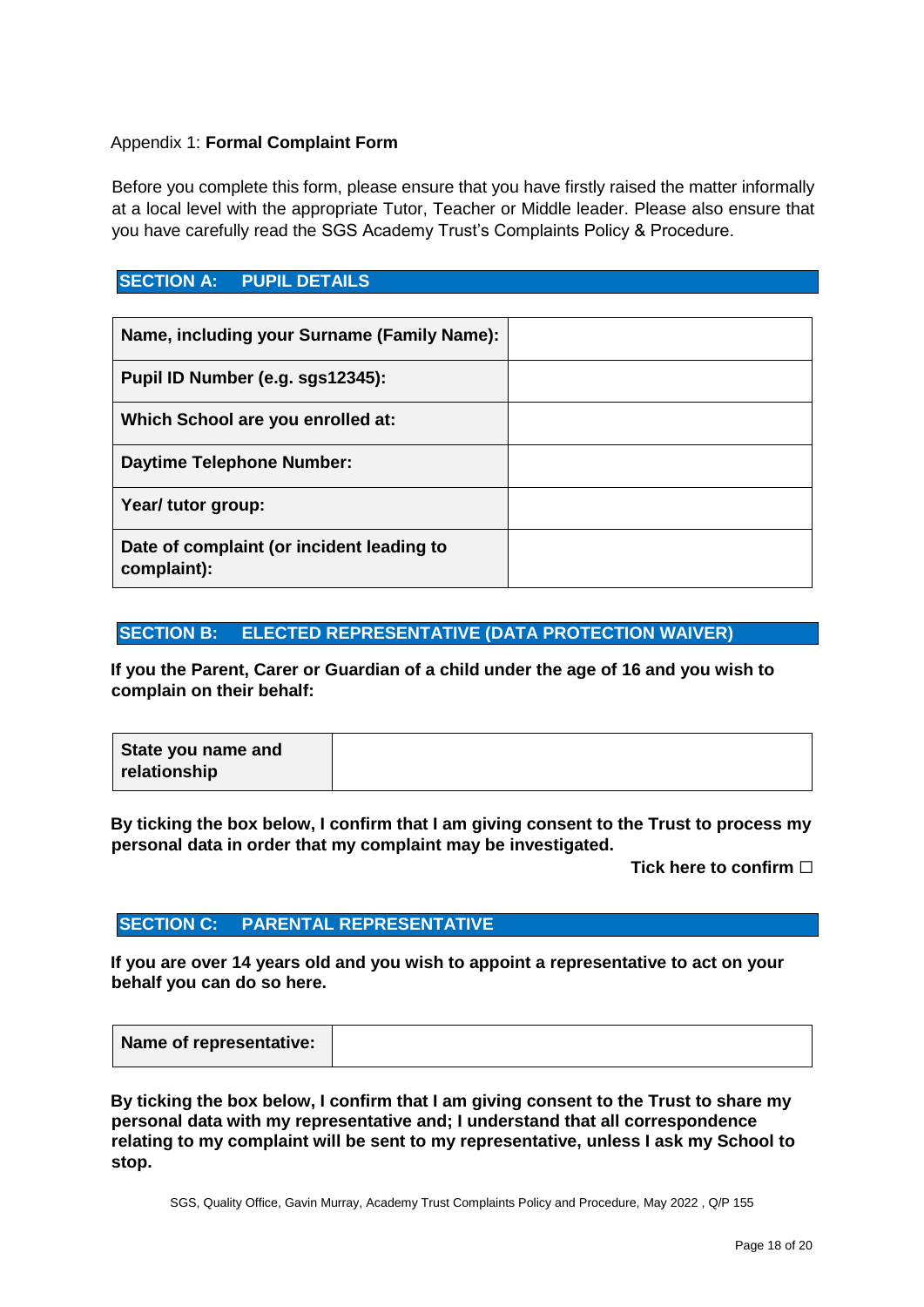#### Appendix 1: **Formal Complaint Form**

Before you complete this form, please ensure that you have firstly raised the matter informally at a local level with the appropriate Tutor, Teacher or Middle leader. Please also ensure that you have carefully read the SGS Academy Trust's Complaints Policy & Procedure.

#### **SECTION A: PUPIL DETAILS**

| Name, including your Surname (Family Name):              |  |
|----------------------------------------------------------|--|
| Pupil ID Number (e.g. sgs12345):                         |  |
| Which School are you enrolled at:                        |  |
| <b>Daytime Telephone Number:</b>                         |  |
| Year/ tutor group:                                       |  |
| Date of complaint (or incident leading to<br>complaint): |  |

#### **SECTION B: ELECTED REPRESENTATIVE (DATA PROTECTION WAIVER)**

**If you the Parent, Carer or Guardian of a child under the age of 16 and you wish to complain on their behalf:** 

**By ticking the box below, I confirm that I am giving consent to the Trust to process my personal data in order that my complaint may be investigated.** 

**Tick here to confirm** ☐

#### **SECTION C: PARENTAL REPRESENTATIVE**

**If you are over 14 years old and you wish to appoint a representative to act on your behalf you can do so here.** 

|--|

**By ticking the box below, I confirm that I am giving consent to the Trust to share my personal data with my representative and; I understand that all correspondence relating to my complaint will be sent to my representative, unless I ask my School to stop.**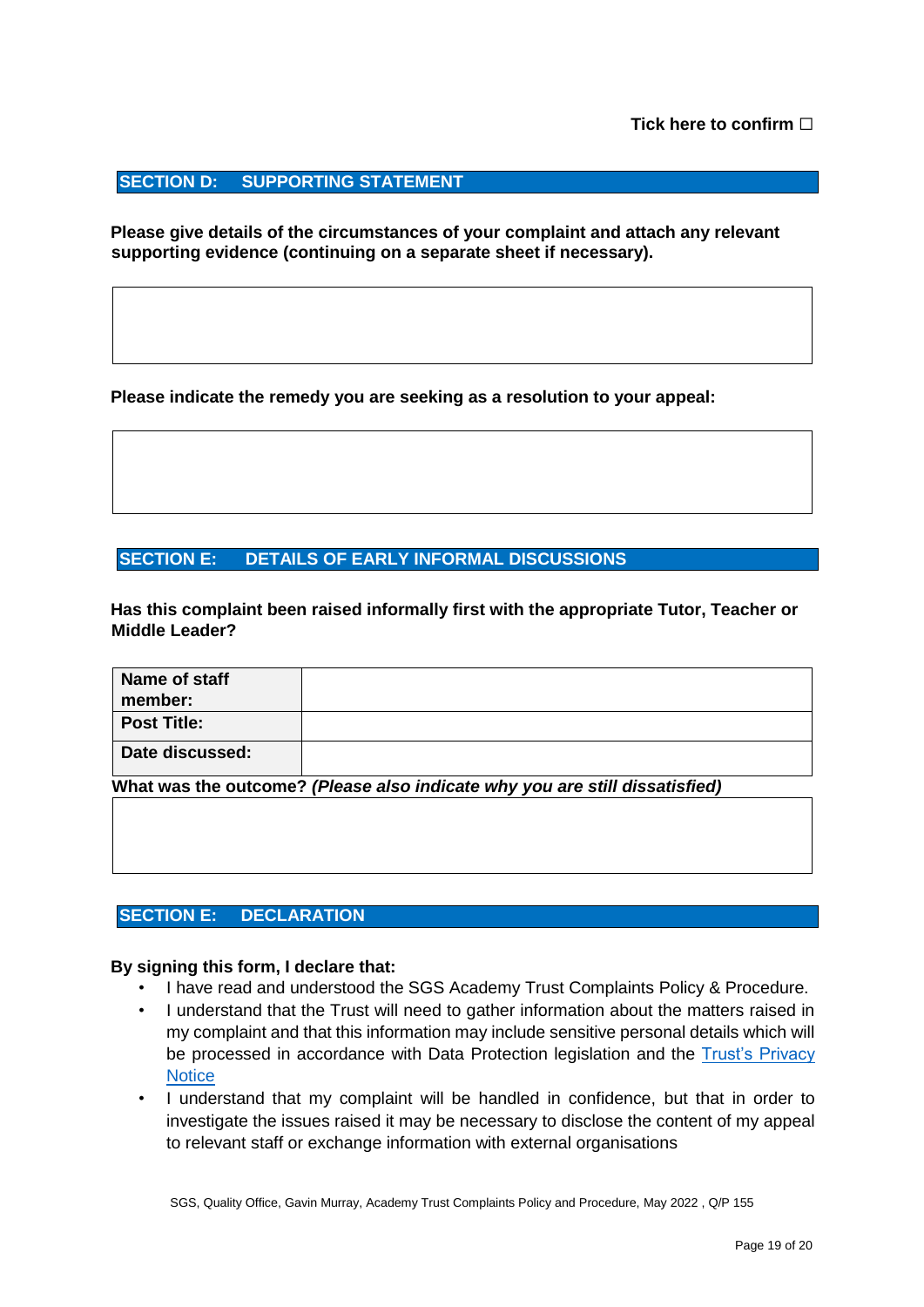#### **SECTION D: SUPPORTING STATEMENT**

**Please give details of the circumstances of your complaint and attach any relevant supporting evidence (continuing on a separate sheet if necessary).** 

**Please indicate the remedy you are seeking as a resolution to your appeal:** 

#### **SECTION E: DETAILS OF EARLY INFORMAL DISCUSSIONS**

**Has this complaint been raised informally first with the appropriate Tutor, Teacher or Middle Leader?** 

| Name of staff<br>member: |                                                                             |
|--------------------------|-----------------------------------------------------------------------------|
| <b>Post Title:</b>       |                                                                             |
| Date discussed:          |                                                                             |
|                          | What was the outcome? (Please also indicate why you are still dissatisfied) |

#### **SECTION E: DECLARATION**

#### **By signing this form, I declare that:**

- I have read and understood the SGS Academy Trust Complaints Policy & Procedure.
- I understand that the Trust will need to gather information about the matters raised in my complaint and that this information may include sensitive personal details which will be processed in accordance with Data Protection legislation and the [Trust's Privacy](https://academytrust.sgscol.ac.uk/privacy-statement)  **[Notice](https://academytrust.sgscol.ac.uk/privacy-statement)**
- I understand that my complaint will be handled in confidence, but that in order to investigate the issues raised it may be necessary to disclose the content of my appeal to relevant staff or exchange information with external organisations